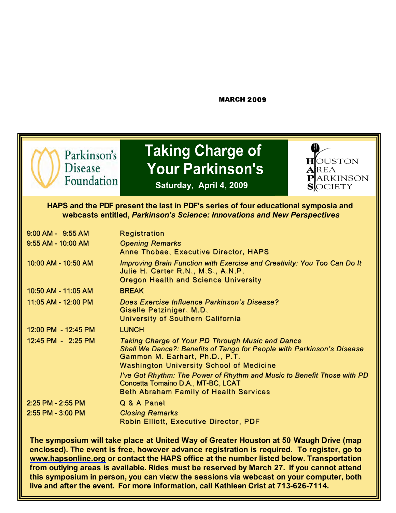#### MARCH 2009



**Parkinson's** Taking Charge of **TANGLIC PARKING CHARGE A PAREA** 



a

**Saturday, April 4, 2009**

#### **HAPS and the PDF present the last in PDF's series of four educational symposia and webcasts entitled,** *Parkinson's Science: Innovations and New Perspectives*

| $9:00$ AM - $9:55$ AM  | <b>Registration</b>                                                                                                                                                                                             |
|------------------------|-----------------------------------------------------------------------------------------------------------------------------------------------------------------------------------------------------------------|
| $9:55$ AM - 10:00 AM   | <b>Opening Remarks</b><br><b>Anne Thobae, Executive Director, HAPS</b>                                                                                                                                          |
| 10:00 AM - 10:50 AM    | Improving Brain Function with Exercise and Creativity: You Too Can Do It<br>Julie H. Carter R.N., M.S., A.N.P.<br><b>Oregon Health and Science University</b>                                                   |
| 10:50 AM - 11:05 AM    | <b>BREAK</b>                                                                                                                                                                                                    |
| 11:05 AM - 12:00 PM    | Does Exercise Influence Parkinson's Disease?<br>Giselle Petziniger, M.D.<br>University of Southern California                                                                                                   |
| 12:00 PM - 12:45 PM    | <b>LUNCH</b>                                                                                                                                                                                                    |
| $12:45$ PM - $2:25$ PM | Taking Charge of Your PD Through Music and Dance<br>Shall We Dance?: Benefits of Tango for People with Parkinson's Disease<br>Gammon M. Earhart, Ph.D., P.T.<br><b>Washington University School of Medicine</b> |
|                        | I've Got Rhythm: The Power of Rhythm and Music to Benefit Those with PD<br>Concetta Tomaino D.A., MT-BC, LCAT<br><b>Beth Abraham Family of Health Services</b>                                                  |
| 2:25 PM - 2:55 PM      | Q & A Panel                                                                                                                                                                                                     |
| 2:55 PM - 3:00 PM      | <b>Closing Remarks</b>                                                                                                                                                                                          |
|                        | <b>Robin Elliott, Executive Director, PDF</b>                                                                                                                                                                   |

**The symposium will take place at United Way of Greater Houston at 50 Waugh Drive (map enclosed). The event is free, however advance registration is required. To register, go to www.hapsonline.org or contact the HAPS office at the number listed below. Transportation from outlying areas is available. Rides must be reserved by March 27. If you cannot attend this symposium in person, you can vie:w the sessions via webcast on your computer, both live and after the event. For more information, call Kathleen Crist at 713-626-7114.**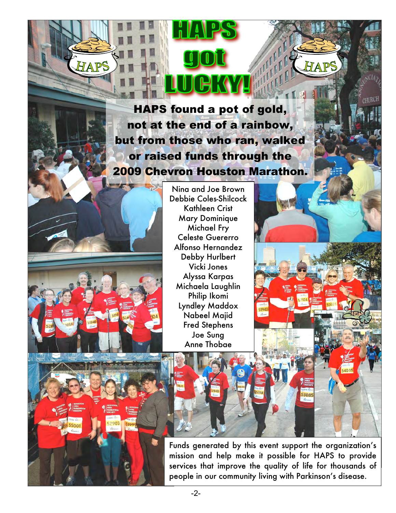#### TO MAINTAIN YOUR BALANCE OR HE SANDWARDS IN THE SANDWARD BALANCE OR BALANCE OR BALANCE OR BALANCE OR BALANCE O HAPS found a pot of gold, **HAPS** found a pot of gold, another and  $\alpha$  inches in  $\alpha$  in front of the other and keep in front of the other and keep in front of the other and keep in front of the other and keep in front of the other and keep in front of the other and keep in **not at the end of a rainbow,** but from those who ran, walked **and or raised funds through the other leg in front.** 2009 Chevron Houston Marathon.

-2-

TAP

Nina and Joe Brown Debbie Coles-Shilcock Kathleen Crist Mary Dominique Michael Fry Celeste Guererro Alfonso Hernandez Debby Hurlbert Vicki Jones Alyssa Karpas Michaela Laughlin Philip Ikomi Lyndley Maddox Nabeel Majid Fred Stephens Joe Sung Anne Thobae



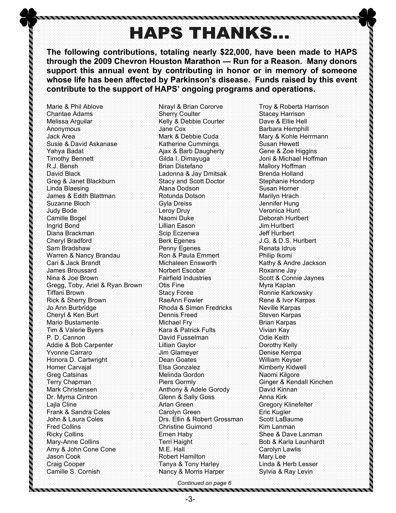## **HAPS THANKS...**

**The following contributions, totaling nearly \$22,000, have been made to HAPS through the 2009 Chevron Houston Marathon — Run for a Reason. Many donors support this annual event by contributing in honor or in memory of someone whose life has been affected by Parkinson's disease. Funds raised by this event contribute to the support of HAPS' ongoing programs and operations.**

Marie & Phil Ablove Chantae Adams Melissa Arguilar Anonymous Jack Area Susie & David Askanase Yahya Badat Timothy Bennett R.J. Bensh David Black Greg & Janet Blackburn Linda Blaesing James & Edith Blattman Suzanne Bloch Judy Bode Camille Bogel Ingrid Bond Diana Brackman Cheryl Bradford Sam Bradshaw Warren & Nancy Brandau Cari & Jack Brandt James Broussard Nina & Joe Brown Gregg, Toby, Ariel & Ryan Brown Tiffani Brown Rick & Sherry Brown Jo Ann Burbridge Cheryl & Ken Burt Mario Bustamente Tim & Valerie Byers P. D. Cannon Addie & Bob Carpenter Yvonne Carraro Honora D. Cartwright Homer Carvajal Greg Catsinas Terry Chapman Mark Christensen Dr. Myrna Cintron Lajla Cline Frank & Sandra Coles John & Laura Coles Fred Collins Ricky Collins Mary-Anne Collins Amy & John Cone Cone Jason Cook Craig Cooper Camille S. Cornish

,,,,,,,,,,,,,,,,,,,,,,,,

Nirayl & Brian Cororve Sherry Coulter Kelly & Debbie Courter Jane Cox Mark & Debbie Cuda Katherine Cummings Ajax & Barb Daugherty Gilda I. Dimayuga Brian Distefano Ladonna & Jay Dmitsak Stacy and Scott Doctor Alana Dodson Rotunda Dotson Gyla Dreiss Leroy Druy Naomi Duke Lillian Eason Scip Eczenwa Berk Egenes Penny Egenes Ron & Paula Emmert Michaleen Ensworth Norbert Escobar Fairfield Industries Otis Fine Stacy Foree RaeAnn Fowler Rhoda & Simon Fredricks Dennis Freed Michael Fry Kara & Patrick Fults David Fusselman Lillian Gaylor Jim Glameyer Dean Goates Elsa Gonzalez Melinda Gordon Piers Gormly Anthony & Adele Gorody Glenn & Sally Goss Arlan Green Carolyn Green Drs. Ellin & Robert Grossman Christine Guimond Ernen Haby Terri Haight M.E. Hall Robert Hamilton Tanya & Tony Harley Nancy & Morris Harper

Troy & Roberta Harrison Stacey Harrison Dave & Ellie Hell Barbara Hemphill Mary & Kohle Herrmann Susan Hewett Gene & Zoe Higgins Joni & Michael Hoffman Mallory Hoffman Brenda Holland Stephanie Hondorp Susan Horner Marilyn Hrach Jennifer Hung Veronica Hunt Deborah Hurlbert Jim Hurlbert Jeff Hurlbert J.G. & D.S. Hurlbert Renata Idrus Philip Ikomi Kathy & Andre Jackson Roxanne Jay Scott & Connie Jaynes Myra Kaplan Ronnie Karkowsky Rene & Ivor Karpas Neville Karpas Steven Karpas Brian Karpas Vivian Kay Odie Keith Dorothy Kelly Denise Kempa William Keyser Kimberly Kidwell Naomi Kilgore Ginger & Kendall Kinchen David Kinnan Anna Kirk Gregory Klinefelter Eric Kugler Scott LaBaume Kim Lanman Shee & Dave Lanman Bob & Karla Launhardt Carolyn Lawlis Mary Lee Linda & Herb Lesser Sylvia & Ray Levin

*Continued on page 6*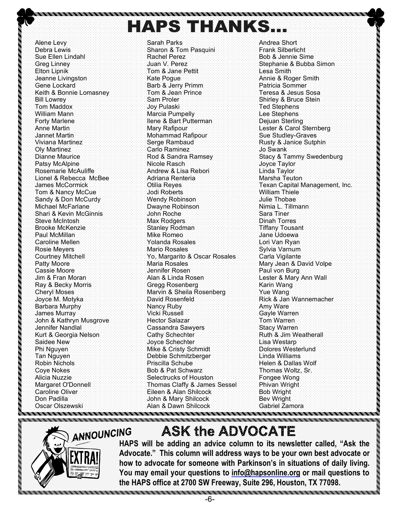**HAPS THANKS.** 

Alene Levy Debra Lewis Sue Ellen Lindahl Greg Linney Elton Lipnik Jeanne Livingston Gene Lockard Keith & Bonnie Lomasney Bill Lowrey Tom Maddox William Mann Forty Marlene Anne Martin Jannet Martin Viviana Martinez Oly Martinez Dianne Maurice Patsy McAlpine Rosemarie McAuliffe Lionel & Rebecca McBee James McCormick Tom & Nancy McCue Sandy & Don McCurdy Michael McFarlane Shari & Kevin McGinnis Steve McIntosh Brooke McKenzie Paul McMillan Caroline Mellen Rosie Meyers Courtney Mitchell Patty Moore Cassie Moore Jim & Fran Moran Ray & Becky Morris Cheryl Moses Joyce M. Motyka Barbara Murphy James Murray John & Kathryn Musgrove Jennifer Nandlal Kurt & Georgia Nelson Saidee New Phi Nguyen Tan Nguyen Robin Nichols Coye Nokes Alicia Nuzzie Margaret O'Donnell Caroline Oliver Don Padilla Oscar Olszewski ,,,,,,,,,,,,,,,,,

Sarah Parks Sharon & Tom Pasquini Rachel Perez Juan V. Perez Tom & Jane Pettit Kate Pogue Barb & Jerry Primm Tom & Jean Prince Sam Proler Joy Pulaski Marcia Pumpelly Ilene & Bart Putterman Mary Rafipour Mohammad Rafipour Serge Rambaud Carlo Raminez Rod & Sandra Ramsey Nicole Rasch Andrew & Lisa Rebori Adriana Renteria Otilia Reyes Jodi Roberts Wendy Robinson Dwayne Robinson John Roche Max Rodgers Stanley Rodman Mike Romeo Yolanda Rosales Mario Rosales Yo, Margarito & Oscar Rosales Maria Rosales Jennifer Rosen Alan & Linda Rosen Gregg Rosenberg Marvin & Sheila Rosenberg David Rosenfeld Nancy Ruby Vicki Russell Hector Salazar Cassandra Sawyers Cathy Schechter Joyce Schechter Mike & Cristy Schmidt Debbie Schmitzberger Priscilla Schube Bob & Pat Schwarz Selectrucks of Houston Thomas Claffy & James Sessel Eileen & Alan Shilcock John & Mary Shilcock Alan & Dawn Shilcock

Andrea Short Frank Silberlicht Bob & Jennie Sime Stephanie & Bubba Simon Lesa Smith Annie & Roger Smith Patricia Sommer Teresa & Jesus Sosa Shirley & Bruce Stein Ted Stephens Lee Stephens Dejuan Sterling Lester & Carol Sternberg Sue Studley-Graves Rusty & Janice Sutphin Jo Swank Stacy & Tammy Swedenburg Joyce Taylor Linda Taylor Marsha Teuton Texan Capital Management, Inc. William Thiele Julie Thobae Nimia L. Tillmann Sara Tiner Dinah Torres Tiffany Tousant Jane Udoewa Lori Van Ryan Sylvia Varnum Carla Vigilante Mary Jean & David Volpe Paul von Burg Lester & Mary Ann Wall Karin Wang Yue Wang Rick & Jan Wannemacher Amy Ware Gayle Warren Tom Warren Stacy Warren Ruth & Jim Weatherall Lisa Westarp Dolores Westerlund Linda Williams Helen & Dallas Wolf Thomas Woltz, Sr. Fongee Wong Phivan Wright Bob Wright Bev Wright Gabriel Zamora



,,,,,,,,,,,,

## **ASK the ADVOCATE**

ANA **HAPS will be adding an advice column to its newsletter called, "Ask the <b>ADA THE Advocate." This column will address ways to be your own best advocate or how to advocate for someone with Parkinson's in situations of daily living. You may email your questions to info@hapsonline.org or mail questions to the HAPS office at 2700 SW Freeway, Suite 296, Houston, TX 77098.**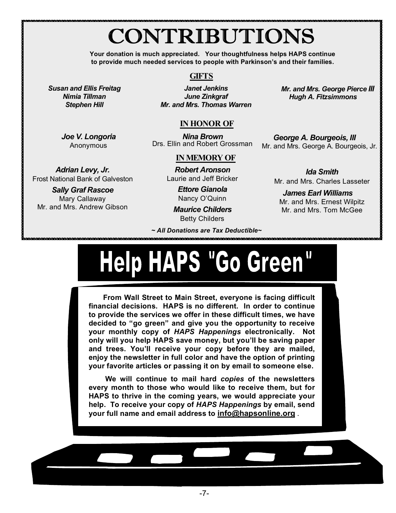## CONTRIBUTIONS

**Your donation is much appreciated. Your thoughtfulness helps HAPS continue to provide much needed services to people with Parkinson's and their families.**

#### **GIFTS**

*Janet Jenkins June Zinkgraf Mr. and Mrs. Thomas Warren*

*Susan and Ellis Freitag Nimia Tillman Stephen Hill*

> *Joe V. Longoria* Anonymous

*Adrian Levy, Jr.*  Frost National Bank of Galveston *Sally Graf Rascoe* Mary Callaway Mr. and Mrs. Andrew Gibson

*Mr. and Mrs. George Pierce III Hugh A. Fitzsimmons*

#### **IN HONOR OF**

*Nina Brown* Drs. Ellin and Robert Grossman *George A. Bourgeois, III*

Mr. and Mrs. George A. Bourgeois, Jr.

#### **IN MEMORY OF**

*Robert Aronson* Laurie and Jeff Bricker

> *Ettore Gianola* Nancy O'Quinn

*Maurice Childers* Betty Childers

*~ All Donations are Tax Deductible~*

*Ida Smith* Mr. and Mrs. Charles Lasseter

*James Earl Williams* Mr. and Mrs. Ernest Wilpitz Mr. and Mrs. Tom McGee

# Help HAPS "Go Green"

your favorite articles or passing it on by email to someone else.<br>`` **From Wall Street to Main Street, everyone is facing difficult financial decisions. HAPS is no different. In order to continue to provide the services we offer in these difficult times, we have decided to "go green" and give you the opportunity to receive your monthly copy of** *HAPS Happenings* **electronically. Not only will you help HAPS save money, but you'll be saving paper and trees. You'll receive your copy before they are mailed, enjoy the newsletter in full color and have the option of printing** 

 **We will continue to mail hard** *copies* **of the newsletters every month to those who would like to receive them, but for HAPS to thrive in the coming years, we would appreciate your help. To receive your copy of** *HAPS Happenings* **by email, send your full name and email address to info@hapsonline.org** .

-7-